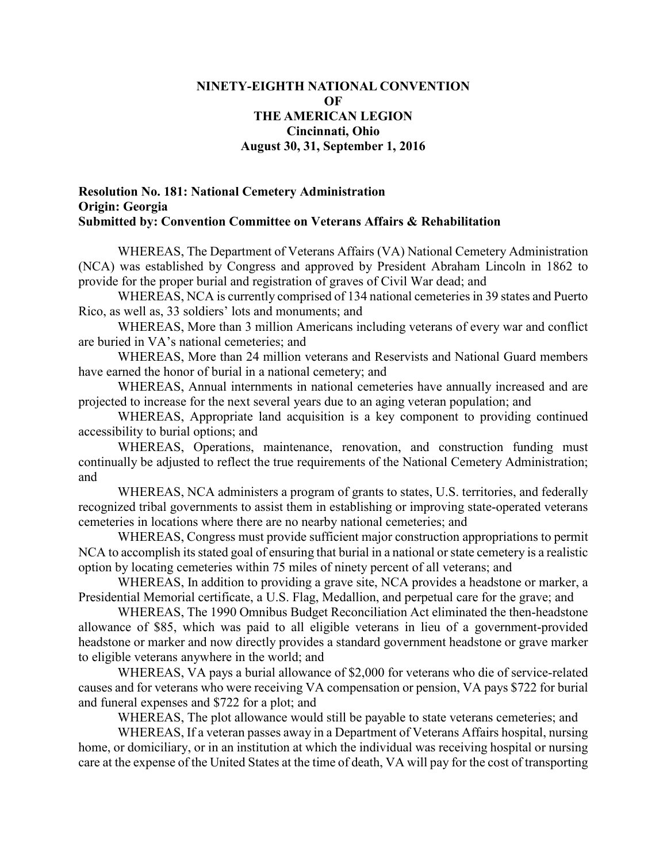## **NINETY-EIGHTH NATIONAL CONVENTION OF THE AMERICAN LEGION Cincinnati, Ohio August 30, 31, September 1, 2016**

## **Resolution No. 181: National Cemetery Administration Origin: Georgia Submitted by: Convention Committee on Veterans Affairs & Rehabilitation**

WHEREAS, The Department of Veterans Affairs (VA) National Cemetery Administration (NCA) was established by Congress and approved by President Abraham Lincoln in 1862 to provide for the proper burial and registration of graves of Civil War dead; and

WHEREAS, NCA is currently comprised of 134 national cemeteries in 39 states and Puerto Rico, as well as, 33 soldiers' lots and monuments; and

WHEREAS, More than 3 million Americans including veterans of every war and conflict are buried in VA's national cemeteries; and

WHEREAS, More than 24 million veterans and Reservists and National Guard members have earned the honor of burial in a national cemetery; and

WHEREAS, Annual internments in national cemeteries have annually increased and are projected to increase for the next several years due to an aging veteran population; and

WHEREAS, Appropriate land acquisition is a key component to providing continued accessibility to burial options; and

WHEREAS, Operations, maintenance, renovation, and construction funding must continually be adjusted to reflect the true requirements of the National Cemetery Administration; and

WHEREAS, NCA administers a program of grants to states, U.S. territories, and federally recognized tribal governments to assist them in establishing or improving state-operated veterans cemeteries in locations where there are no nearby national cemeteries; and

WHEREAS, Congress must provide sufficient major construction appropriations to permit NCA to accomplish its stated goal of ensuring that burial in a national or state cemetery is a realistic option by locating cemeteries within 75 miles of ninety percent of all veterans; and

WHEREAS, In addition to providing a grave site, NCA provides a headstone or marker, a Presidential Memorial certificate, a U.S. Flag, Medallion, and perpetual care for the grave; and

WHEREAS, The 1990 Omnibus Budget Reconciliation Act eliminated the then-headstone allowance of \$85, which was paid to all eligible veterans in lieu of a government-provided headstone or marker and now directly provides a standard government headstone or grave marker to eligible veterans anywhere in the world; and

WHEREAS, VA pays a burial allowance of \$2,000 for veterans who die of service-related causes and for veterans who were receiving VA compensation or pension, VA pays \$722 for burial and funeral expenses and \$722 for a plot; and

WHEREAS, The plot allowance would still be payable to state veterans cemeteries; and

WHEREAS, If a veteran passes away in a Department of Veterans Affairs hospital, nursing home, or domiciliary, or in an institution at which the individual was receiving hospital or nursing care at the expense of the United States at the time of death, VA will pay for the cost of transporting